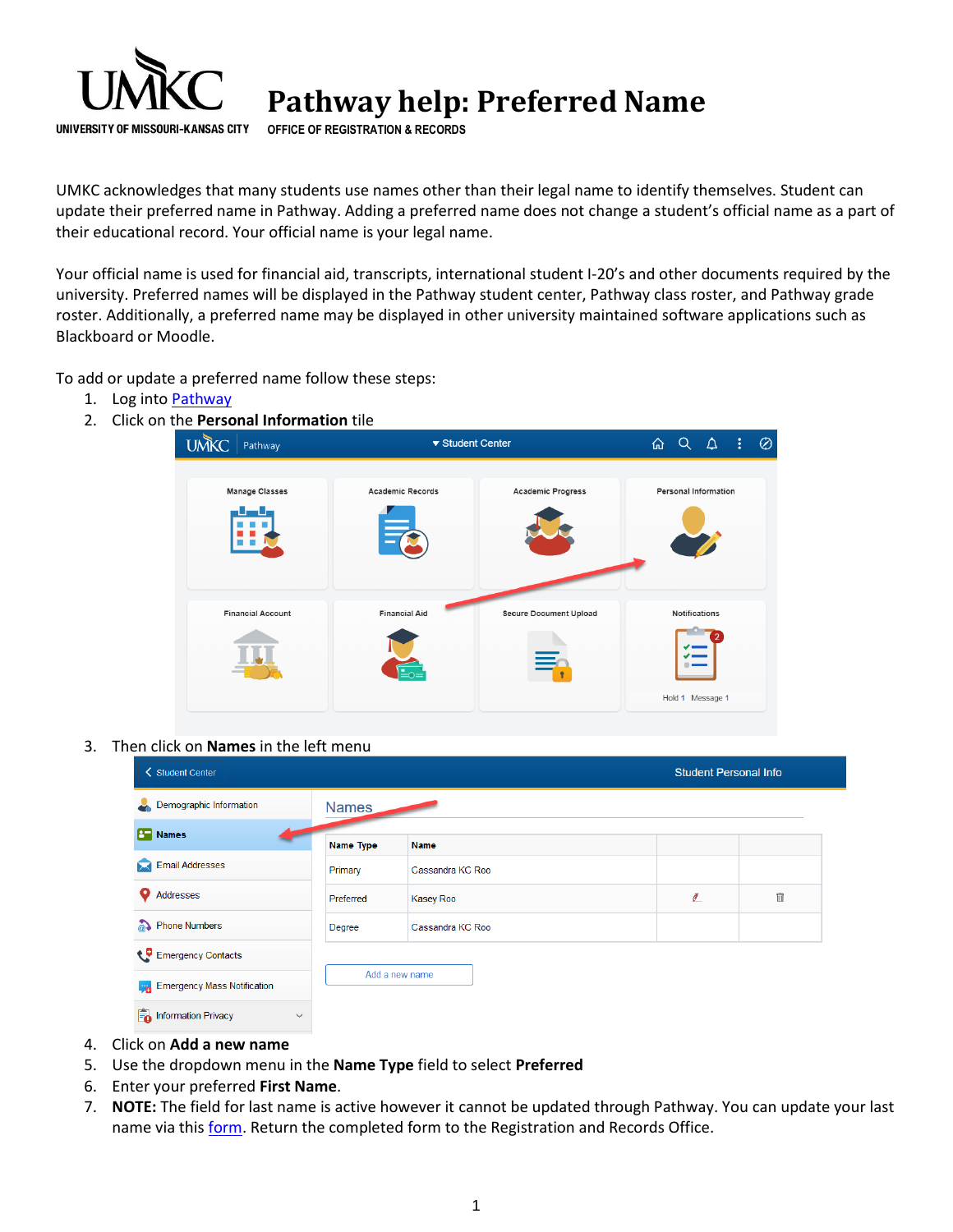

**Pathway help: Preferred Name** 

**OFFICE OF REGISTRATION & RECORDS**

UMKC acknowledges that many students use names other than their legal name to identify themselves. Student can update their preferred name in Pathway. Adding a preferred name does not change a student's official name as a part of their educational record. Your official name is your legal name.

Your official name is used for financial aid, transcripts, international student I-20's and other documents required by the university. Preferred names will be displayed in the Pathway student center, Pathway class roster, and Pathway grade roster. Additionally, a preferred name may be displayed in other university maintained software applications such as Blackboard or Moodle.

To add or update a preferred name follow these steps:

- 1. Log into [Pathway](https://umkc.umsystem.edu/psp/prd/?cmd=login&languageCd=ENG)
- 2. Click on the **Personal Information** tile



3. Then click on **Names** in the left menu

| <b>く Student Center</b>                           |                  | <b>Student Personal Info</b> |        |   |
|---------------------------------------------------|------------------|------------------------------|--------|---|
| Demographic Information                           | <b>Names</b>     |                              |        |   |
| <b>B</b> Names                                    | <b>Name Type</b> | <b>Name</b>                  |        |   |
| <b>Email Addresses</b>                            | Primary          | Cassandra KC Roo             |        |   |
| Addresses                                         | Preferred        | <b>Kasey Roo</b>             | $\ell$ | Ô |
| a) Phone Numbers                                  | Degree           | Cassandra KC Roo             |        |   |
| Emergency Contacts                                |                  |                              |        |   |
| <b>Fy<sub>n</sub></b> Emergency Mass Notification |                  | Add a new name               |        |   |
| Information Privacy                               | $\checkmark$     |                              |        |   |

- 4. Click on **Add a new name**
- 5. Use the dropdown menu in the **Name Type** field to select **Preferred**
- 6. Enter your preferred **First Name**.
- 7. **NOTE:** The field for last name is active however it cannot be updated through Pathway. You can update your last name via this [form.](http://www.umkc.edu/registrar/forms/information_change.pdf) Return the completed form to the Registration and Records Office.